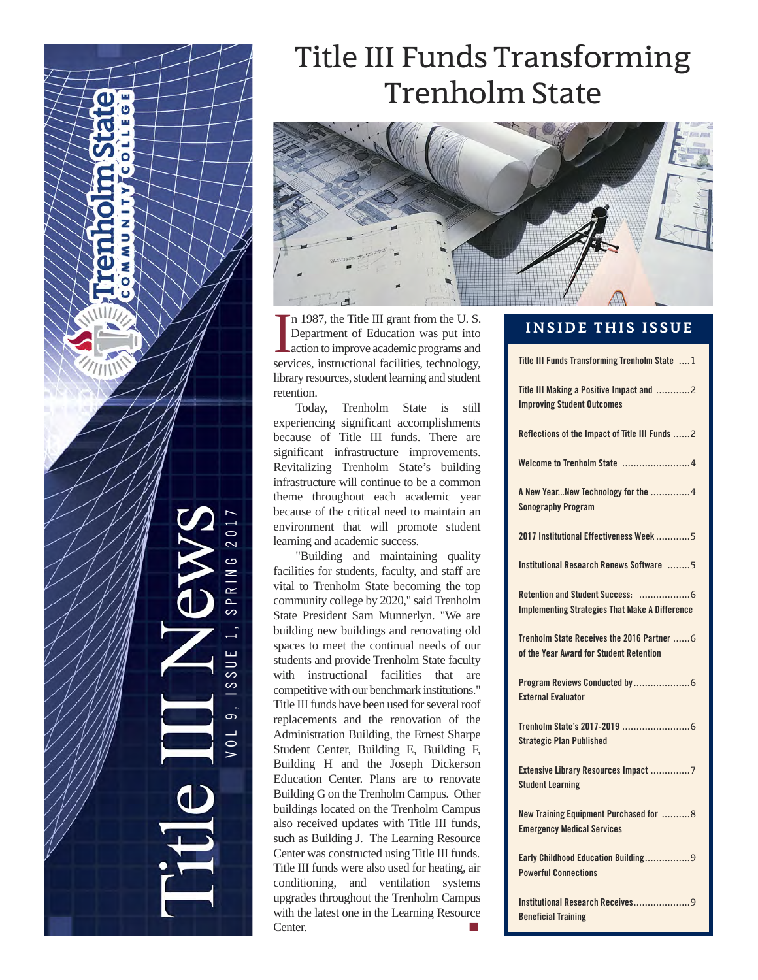# Title III Funds Transforming TrenholmState



In 1987, the Title III grant from the U.S.<br>Department of Education was put into<br>action to improve academic programs and<br>services, instructional facilities, technology, n 1987, the Title III grant from the U. S. Department of Education was put into action to improve academic programs and library resources, student learning and student retention.

Today, Trenholm State is still experiencing significant accomplishments because of Title III funds. There are significant infrastructure improvements. Revitalizing Trenholm State's building infrastructure will continue to be a common theme throughout each academic year because of the critical need to maintain an environment that will promote student learning and academic success.

"Building and maintaining quality facilities for students, faculty, and staff are vital to Trenholm State becoming the top community college by 2020," said Trenholm State President Sam Munnerlyn. "We are building new buildings and renovating old spaces to meet the continual needs of our students and provide Trenholm State faculty with instructional facilities that are competitive with our benchmark institutions." Title III funds have been used for several roof replacements and the renovation of the Administration Building, the Ernest Sharpe Student Center, Building E, Building F, Building H and the Joseph Dickerson Education Center. Plans are to renovate Building G on the Trenholm Campus. Other buildings located on the Trenholm Campus also received updates with Title III funds, such as Building J. The Learning Resource Center was constructed using Title III funds. Title III funds were also used for heating, air conditioning, and ventilation systems upgrades throughout the Trenholm Campus with the latest one in the Learning Resource Center.

V O L 9 , I S S U E 1 , S P R I N G 2 0 1 7

 $\overline{\phantom{0}}$  $1S<sub>S</sub>$ 

 $\sigma$ 

 $\circ$ 

 $\approx$ 

z Б ź Ś

#### **INSIDE THIS ISSUE**

**Title III Funds Transforming Trenholm State** ....1 **Title III Making a Positive Impact and** ............2 **Improving Student Outcomes Reflections of the Impact of Title III Funds** ......2 **Welcome to Trenholm State** ........................4 **A New Year...New Technology for the** ..............4 **Sonography Program 2017 Institutional Effectiveness Week** ............5 **Institutional Research Renews Software** ........5 **Retention and Student Success:** ..................6 **Implementing Strategies That Make A Difference Trenholm State Receives the 2016 Partner** ......6 **of the Year Award for Student Retention Program Reviews Conducted by**....................6 **External Evaluator Trenholm State's 2017-2019** ........................6 **Strategic Plan Published Extensive Library Resources Impact** ..............7 **Student Learning New Training Equipment Purchased for** ..........8 **Emergency Medical Services Early Childhood Education Building**................9 **Powerful Connections Institutional Research Receives**....................9 **Beneficial Training**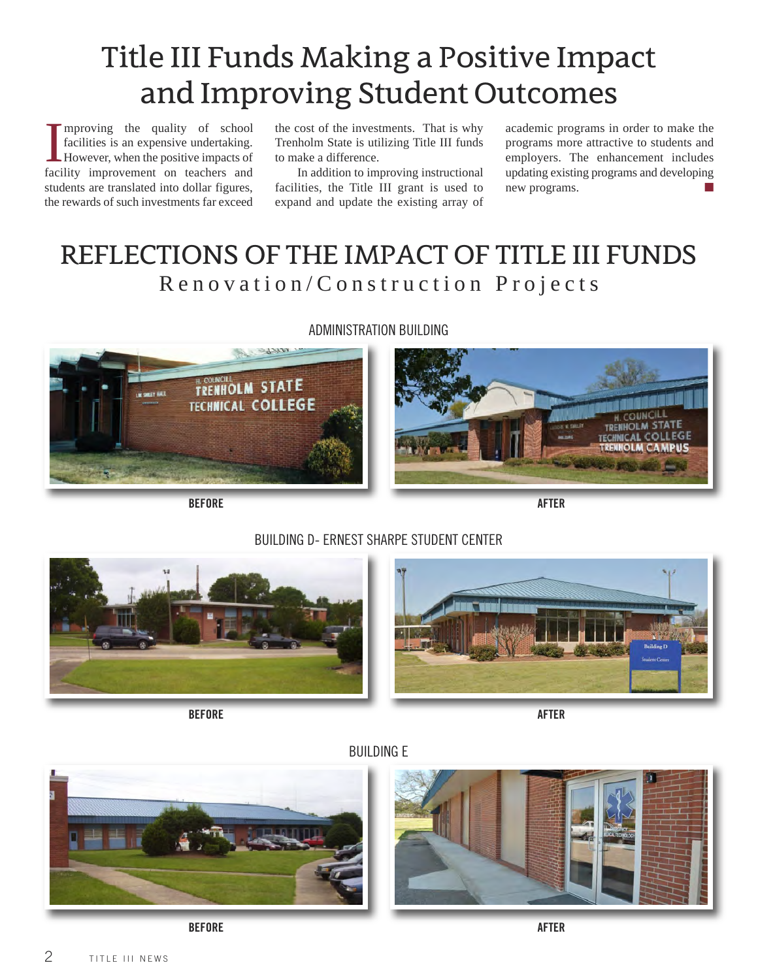# Title III Funds Making a Positive Impact and Improving Student Outcomes

Improving the quality of school facilities is an expensive undertaking.<br>However, when the positive impacts of facility improvement on teachers and mproving the quality of school facilities is an expensive undertaking. However, when the positive impacts of students are translated into dollar figures, the rewards of such investments far exceed

the cost of the investments. That is why Trenholm State is utilizing Title III funds to make a difference.

In addition to improving instructional facilities, the Title III grant is used to expand and update the existing array of

academic programs in order to make the programs more attractive to students and employers. The enhancement includes updating existing programs and developing new programs.

## REFLECTIONS OF THE IMPACT OF TITLE III FUNDS Renovation/Construction Projects



ADMINISTRATION BUILDING



**BEFORE AFTER**

### BUILDING D- ERNEST SHARPE STUDENT CENTER



**BEFORE AFTER**





**BEFORE AFTER**

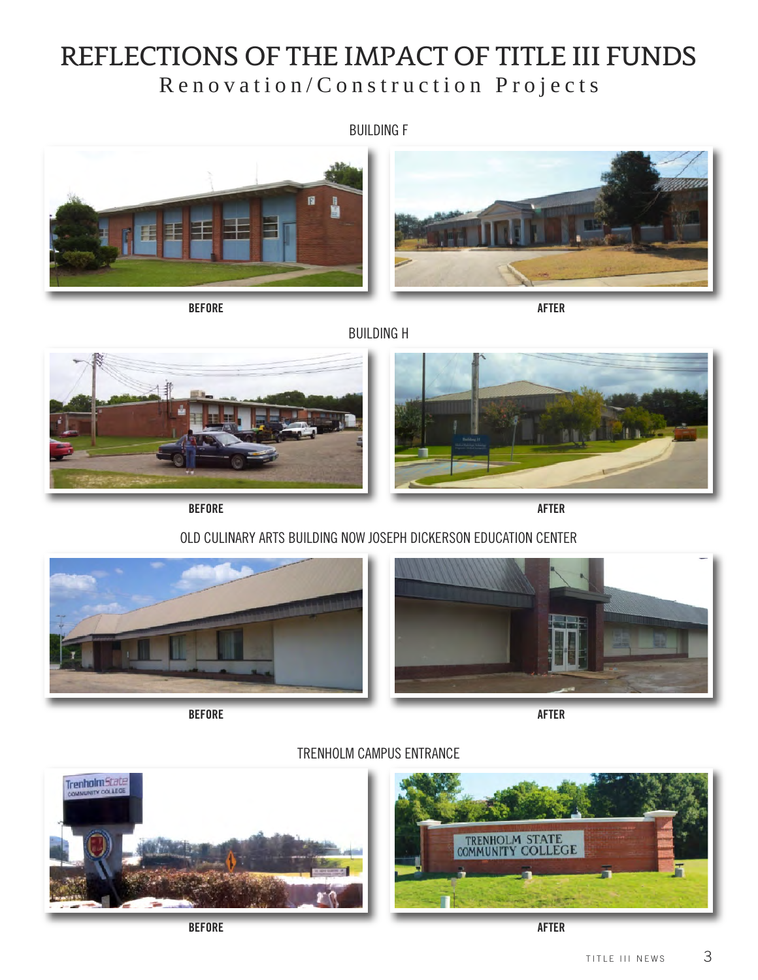## REFLECTIONS OF THE IMPACT OF TITLE III FUNDS Renovation/Construction Projects

#### BUILDING F



**BEFORE AFTER**





BUILDING H





**BEFORE AFTER**

### OLD CULINARY ARTS BUILDING NOW JOSEPH DICKERSON EDUCATION CENTER



**BEFORE AFTER**



TRENHOLM CAMPUS ENTRANCE



**BEFORE AFTER**

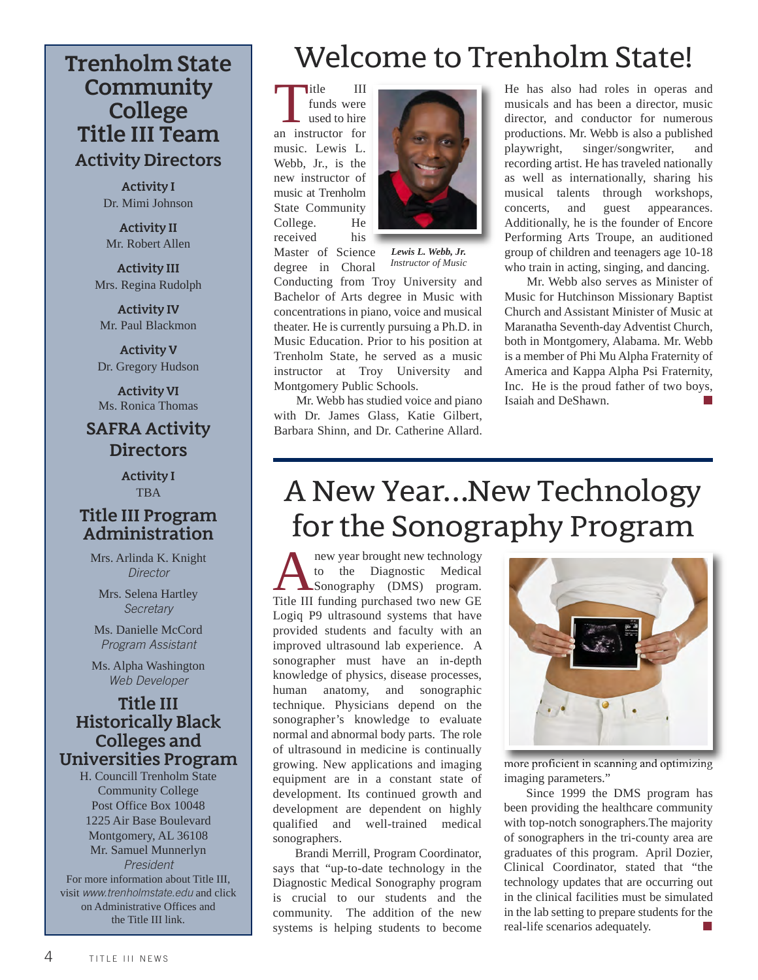## **Community College Title III Team Activity Directors**

**Activity I**  Dr. Mimi Johnson

**Activity II** Mr. Robert Allen

**Activity III** Mrs. Regina Rudolph

**Activity IV** Mr. Paul Blackmon

**Activity V** Dr. Gregory Hudson

**Activity VI** Ms. Ronica Thomas

### **SAFRA Activity Directors**

**Activity I TBA** 

#### **Title III Program Administration**

Mrs. Arlinda K. Knight *Director*

Mrs. Selena Hartley *Secretary*

Ms. Danielle McCord *Program Assistant*

Ms. Alpha Washington *Web Developer*

#### **Title III Historically Black Colleges and Universities Program**

H. Councill Trenholm State Community College Post Office Box 10048 1225 Air Base Boulevard Montgomery, AL 36108 Mr. Samuel Munnerlyn *President* For more information about Title III, visit *www.trenholmstate.edu* and click on Administrative Offices and the Title III link.

# **Trenholm State** Welcome to Trenholm State!

Title III<br>
funds were<br>
used to hire<br>
an instructor for funds were used to hire music. Lewis L. Webb, Jr., is the new instructor of music at Trenholm State Community College. He received his Master of Science

degree in Choral



*Lewis L. Webb, Jr. Instructor of Music*

Conducting from Troy University and Bachelor of Arts degree in Music with concentrations in piano, voice and musical theater. He is currently pursuing a Ph.D. in Music Education. Prior to his position at Trenholm State, he served as a music instructor at Troy University and Montgomery Public Schools.

Mr. Webb has studied voice and piano with Dr. James Glass, Katie Gilbert, Barbara Shinn, and Dr. Catherine Allard.

He has also had roles in operas and musicals and has been a director, music director, and conductor for numerous productions. Mr. Webb is also a published playwright, singer/songwriter, and recording artist. He has traveled nationally as well as internationally, sharing his musical talents through workshops, concerts, and guest appearances. Additionally, he is the founder of Encore Performing Arts Troupe, an auditioned group of children and teenagers age 10-18 who train in acting, singing, and dancing.

Mr. Webb also serves as Minister of Music for Hutchinson Missionary Baptist Church and Assistant Minister of Music at Maranatha Seventh-day Adventist Church, both in Montgomery, Alabama. Mr. Webb is a member of Phi Mu Alpha Fraternity of America and Kappa Alpha Psi Fraternity, Inc. He is the proud father of two boys, Isaiah and DeShawn. **■**

# ANewYear…NewTechnology for the Sonography Program

new year brought new technology<br>to the Diagnostic Medical<br>Sonography (DMS) program.<br>Title III funding purchased two new GE to the Diagnostic Medical Sonography (DMS) program. Title III funding purchased two new GE Logiq P9 ultrasound systems that have provided students and faculty with an improved ultrasound lab experience. A sonographer must have an in-depth knowledge of physics, disease processes, human anatomy, and sonographic technique. Physicians depend on the sonographer's knowledge to evaluate normal and abnormal body parts. The role of ultrasound in medicine is continually growing. New applications and imaging equipment are in a constant state of development. Its continued growth and development are dependent on highly qualified and well-trained medical sonographers.

Brandi Merrill, Program Coordinator, says that "up-to-date technology in the Diagnostic Medical Sonography program is crucial to our students and the community. The addition of the new systems is helping students to become



more proficient in scanning and optimizing imaging parameters."

Since 1999 the DMS program has been providing the healthcare community with top-notch sonographers.The majority of sonographers in the tri-county area are graduates of this program. April Dozier, Clinical Coordinator, stated that "the technology updates that are occurring out in the clinical facilities must be simulated in the lab setting to prepare students for the real-life scenarios adequately.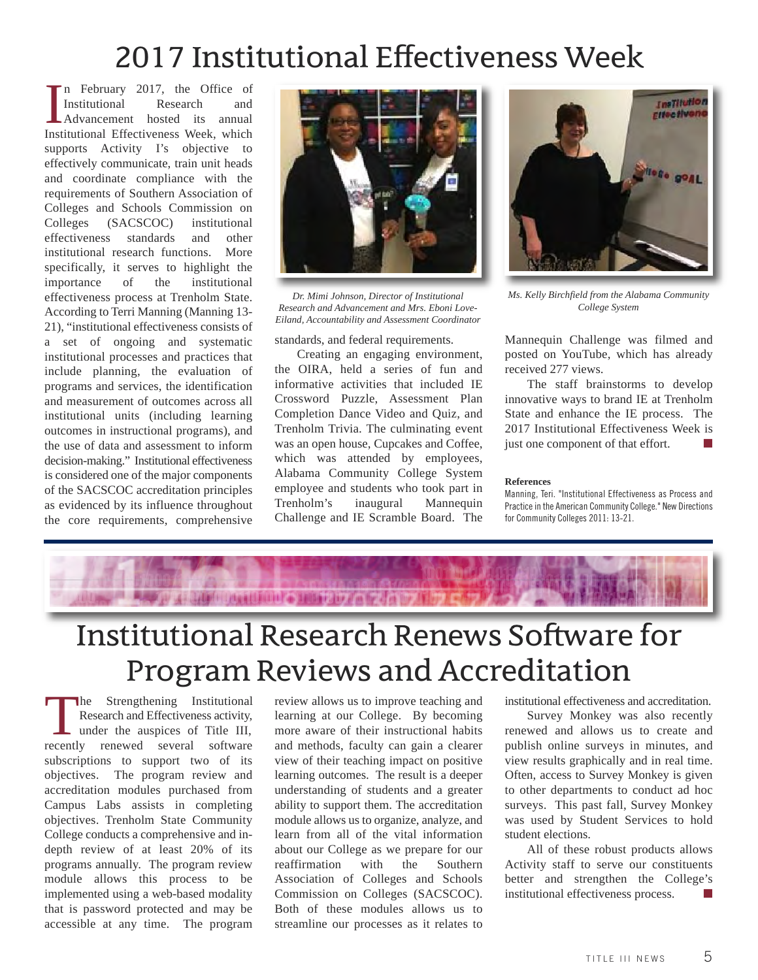# 2017 Institutional Effectiveness Week

Institutional Research and Advancement hosted its annual Institutional Effectiveness Week, which n February 2017, the Office of Institutional Research and Advancement hosted its annual supports Activity I's objective to effectively communicate, train unit heads and coordinate compliance with the requirements of Southern Association of Colleges and Schools Commission on Colleges (SACSCOC) institutional effectiveness standards and other institutional research functions. More specifically, it serves to highlight the importance of the institutional effectiveness process at Trenholm State. According to Terri Manning (Manning 13- 21), "institutional effectiveness consists of a set of ongoing and systematic institutional processes and practices that include planning, the evaluation of programs and services, the identification and measurement of outcomes across all institutional units (including learning outcomes in instructional programs), and the use of data and assessment to inform decision-making." Institutional effectiveness is considered one of the major components of the SACSCOC accreditation principles as evidenced by its influence throughout the core requirements, comprehensive



*Dr. Mimi Johnson, Director of Institutional Research and Advancement and Mrs. Eboni Love-Eiland, Accountability and Assessment Coordinator*

#### standards, and federal requirements.

Creating an engaging environment, the OIRA, held a series of fun and informative activities that included IE Crossword Puzzle, Assessment Plan Completion Dance Video and Quiz, and Trenholm Trivia. The culminating event was an open house, Cupcakes and Coffee, which was attended by employees, Alabama Community College System employee and students who took part in Trenholm's inaugural Mannequin Challenge and IE Scramble Board. The



*Ms. Kelly Birchfield from the Alabama Community College System*

Mannequin Challenge was filmed and posted on YouTube, which has already received 277 views.

The staff brainstorms to develop innovative ways to brand IE at Trenholm State and enhance the IE process. The 2017 Institutional Effectiveness Week is just one component of that effort. **■**

#### **References**

Manning, Teri. "Institutional Effectiveness as Process and Practice in the American Community College." New Directions for Community Colleges 2011: 13-21.



# Institutional Research Renews Software for Program Reviews and Accreditation

The Strengthening Institutional Research and Effectiveness activity, under the auspices of Title III, recently renewed several software subscriptions to support two of its objectives. The program review and accreditation modules purchased from Campus Labs assists in completing objectives. Trenholm State Community College conducts a comprehensive and indepth review of at least 20% of its programs annually. The program review module allows this process to be implemented using a web-based modality that is password protected and may be accessible at any time. The program

review allows us to improve teaching and learning at our College. By becoming more aware of their instructional habits and methods, faculty can gain a clearer view of their teaching impact on positive learning outcomes. The result is a deeper understanding of students and a greater ability to support them. The accreditation module allows us to organize, analyze, and learn from all of the vital information about our College as we prepare for our reaffirmation with the Southern Association of Colleges and Schools Commission on Colleges (SACSCOC). Both of these modules allows us to streamline our processes as it relates to institutional effectiveness and accreditation.

Survey Monkey was also recently renewed and allows us to create and publish online surveys in minutes, and view results graphically and in real time. Often, access to Survey Monkey is given to other departments to conduct ad hoc surveys. This past fall, Survey Monkey was used by Student Services to hold student elections.

All of these robust products allows Activity staff to serve our constituents better and strengthen the College's institutional effectiveness process. **■**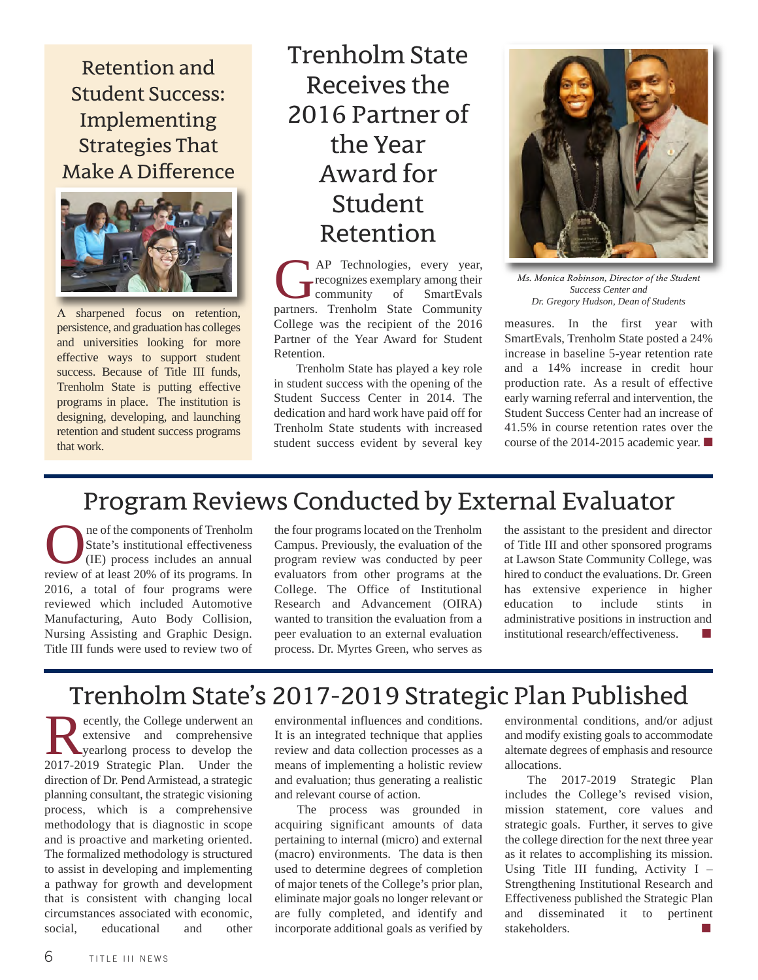Retentionand Student Success: Implementing **Strategies That** Make A Difference



A sharpened focus on retention, persistence, and graduation has colleges and universities looking for more effective ways to support student success. Because of Title III funds, Trenholm State is putting effective programs in place. The institution is designing, developing, and launching retention and student success programs that work.

TrenholmState Receivesthe 2016 Partner of theYear Award for Student Retention

AP Technologies, every year,<br>recognizes exemplary among their<br>community of SmartEvals recognizes exemplary among their SmartEvals partners. Trenholm State Community College was the recipient of the 2016 Partner of the Year Award for Student Retention.

Trenholm State has played a key role in student success with the opening of the Student Success Center in 2014. The dedication and hard work have paid off for Trenholm State students with increased student success evident by several key



*Ms. Monica Robinson, Director of the Student Success Center and Dr. Gregory Hudson, Dean of Students*

measures. In the first year with SmartEvals, Trenholm State posted a 24% increase in baseline 5-year retention rate and a 14% increase in credit hour production rate. As a result of effective early warning referral and intervention, the Student Success Center had an increase of 41.5% in course retention rates over the course of the 2014-2015 academic year. **■**

## Program Reviews Conducted by External Evaluator

**OREC A** are of the components of Trenholm<br>State's institutional effectiveness<br>(IE) process includes an annual<br>review of at least 20% of its programs. In State's institutional effectiveness (IE) process includes an annual review of at least 20% of its programs. In 2016, a total of four programs were reviewed which included Automotive Manufacturing, Auto Body Collision, Nursing Assisting and Graphic Design. Title III funds were used to review two of

the four programs located on the Trenholm Campus. Previously, the evaluation of the program review was conducted by peer evaluators from other programs at the College. The Office of Institutional Research and Advancement (OIRA) wanted to transition the evaluation from a peer evaluation to an external evaluation process. Dr. Myrtes Green, who serves as

the assistant to the president and director of Title III and other sponsored programs at Lawson State Community College, was hired to conduct the evaluations. Dr. Green has extensive experience in higher education to include stints in administrative positions in instruction and  $institutional research/effectiveness.$ 

## Trenholm State's 2017-2019 Strategic Plan Published

**Recently, the College underwent and comprehensive**<br>yearlong process to develop the<br>2017-2019 Strategic Plan **Under the** extensive and comprehensive yearlong process to develop the 2017-2019 Strategic Plan. Under the direction of Dr. Pend Armistead, a strategic planning consultant, the strategic visioning process, which is a comprehensive methodology that is diagnostic in scope and is proactive and marketing oriented. The formalized methodology is structured to assist in developing and implementing a pathway for growth and development that is consistent with changing local circumstances associated with economic, social, educational and other

environmental influences and conditions. It is an integrated technique that applies review and data collection processes as a means of implementing a holistic review and evaluation; thus generating a realistic and relevant course of action.

The process was grounded in acquiring significant amounts of data pertaining to internal (micro) and external (macro) environments. The data is then used to determine degrees of completion of major tenets of the College's prior plan, eliminate major goals no longer relevant or are fully completed, and identify and incorporate additional goals as verified by

environmental conditions, and/or adjust and modify existing goals to accommodate alternate degrees of emphasis and resource allocations.

The 2017-2019 Strategic Plan includes the College's revised vision, mission statement, core values and strategic goals. Further, it serves to give the college direction for the next three year as it relates to accomplishing its mission. Using Title III funding, Activity  $I -$ Strengthening Institutional Research and Effectiveness published the Strategic Plan and disseminated it to pertinent stakeholders.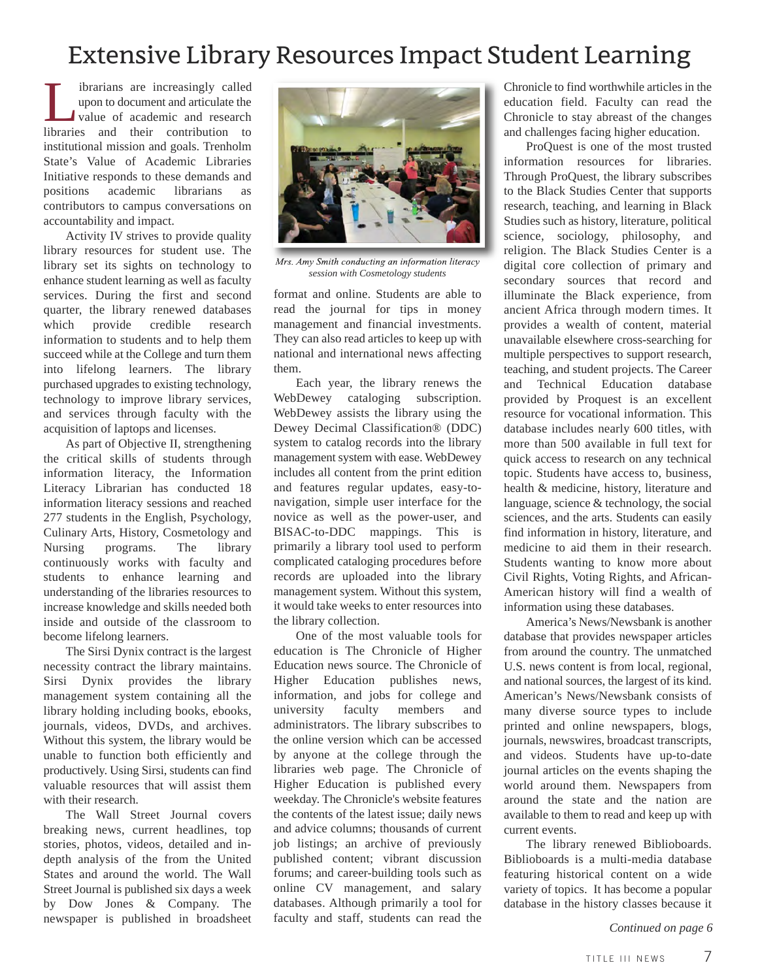## Extensive Library Resources Impact Student Learning

I ibrarians are increasingly called<br>upon to document and articulate the<br>value of academic and research<br>libraries and their contribution to upon to document and articulate the value of academic and research libraries and their contribution to institutional mission and goals. Trenholm State's Value of Academic Libraries Initiative responds to these demands and positions academic librarians as contributors to campus conversations on accountability and impact.

Activity IV strives to provide quality library resources for student use. The library set its sights on technology to enhance student learning as well as faculty services. During the first and second quarter, the library renewed databases which provide credible research information to students and to help them succeed while at the College and turn them into lifelong learners. The library purchased upgrades to existing technology, technology to improve library services, and services through faculty with the acquisition of laptops and licenses.

As part of Objective II, strengthening the critical skills of students through information literacy, the Information Literacy Librarian has conducted 18 information literacy sessions and reached 277 students in the English, Psychology, Culinary Arts, History, Cosmetology and Nursing programs. The library continuously works with faculty and students to enhance learning and understanding of the libraries resources to increase knowledge and skills needed both inside and outside of the classroom to become lifelong learners.

The Sirsi Dynix contract is the largest necessity contract the library maintains. Sirsi Dynix provides the library management system containing all the library holding including books, ebooks, journals, videos, DVDs, and archives. Without this system, the library would be unable to function both efficiently and productively. Using Sirsi, students can find valuable resources that will assist them with their research.

The Wall Street Journal covers breaking news, current headlines, top stories, photos, videos, detailed and indepth analysis of the from the United States and around the world. The Wall Street Journal is published six days a week by Dow Jones & Company. The newspaper is published in broadsheet



*Mrs. Amy Smith conducting an information literacy session with Cosmetology students*

format and online. Students are able to read the journal for tips in money management and financial investments. They can also read articles to keep up with national and international news affecting them.

Each year, the library renews the WebDewey cataloging subscription. WebDewey assists the library using the Dewey Decimal Classification® (DDC) system to catalog records into the library management system with ease. WebDewey includes all content from the print edition and features regular updates, easy-tonavigation, simple user interface for the novice as well as the power-user, and BISAC-to-DDC mappings. This is primarily a library tool used to perform complicated cataloging procedures before records are uploaded into the library management system. Without this system, it would take weeks to enter resources into the library collection.

One of the most valuable tools for education is The Chronicle of Higher Education news source. The Chronicle of Higher Education publishes news, information, and jobs for college and university faculty members and administrators. The library subscribes to the online version which can be accessed by anyone at the college through the libraries web page. The Chronicle of Higher Education is published every weekday. The Chronicle's website features the contents of the latest issue; daily news and advice columns; thousands of current job listings; an archive of previously published content; vibrant discussion forums; and career-building tools such as online CV management, and salary databases. Although primarily a tool for faculty and staff, students can read the

Chronicle to find worthwhile articles in the education field. Faculty can read the Chronicle to stay abreast of the changes and challenges facing higher education.

ProQuest is one of the most trusted information resources for libraries. Through ProQuest, the library subscribes to the Black Studies Center that supports research, teaching, and learning in Black Studies such as history, literature, political science, sociology, philosophy, and religion. The Black Studies Center is a digital core collection of primary and secondary sources that record and illuminate the Black experience, from ancient Africa through modern times. It provides a wealth of content, material unavailable elsewhere cross-searching for multiple perspectives to support research, teaching, and student projects. The Career and Technical Education database provided by Proquest is an excellent resource for vocational information. This database includes nearly 600 titles, with more than 500 available in full text for quick access to research on any technical topic. Students have access to, business, health & medicine, history, literature and language, science & technology, the social sciences, and the arts. Students can easily find information in history, literature, and medicine to aid them in their research. Students wanting to know more about Civil Rights, Voting Rights, and African-American history will find a wealth of information using these databases.

America's News/Newsbank is another database that provides newspaper articles from around the country. The unmatched U.S. news content is from local, regional, and national sources, the largest of its kind. American's News/Newsbank consists of many diverse source types to include printed and online newspapers, blogs, journals, newswires, broadcast transcripts, and videos. Students have up-to-date journal articles on the events shaping the world around them. Newspapers from around the state and the nation are available to them to read and keep up with current events.

The library renewed Biblioboards. Biblioboards is a multi-media database featuring historical content on a wide variety of topics. It has become a popular database in the history classes because it

*Continued on page 6*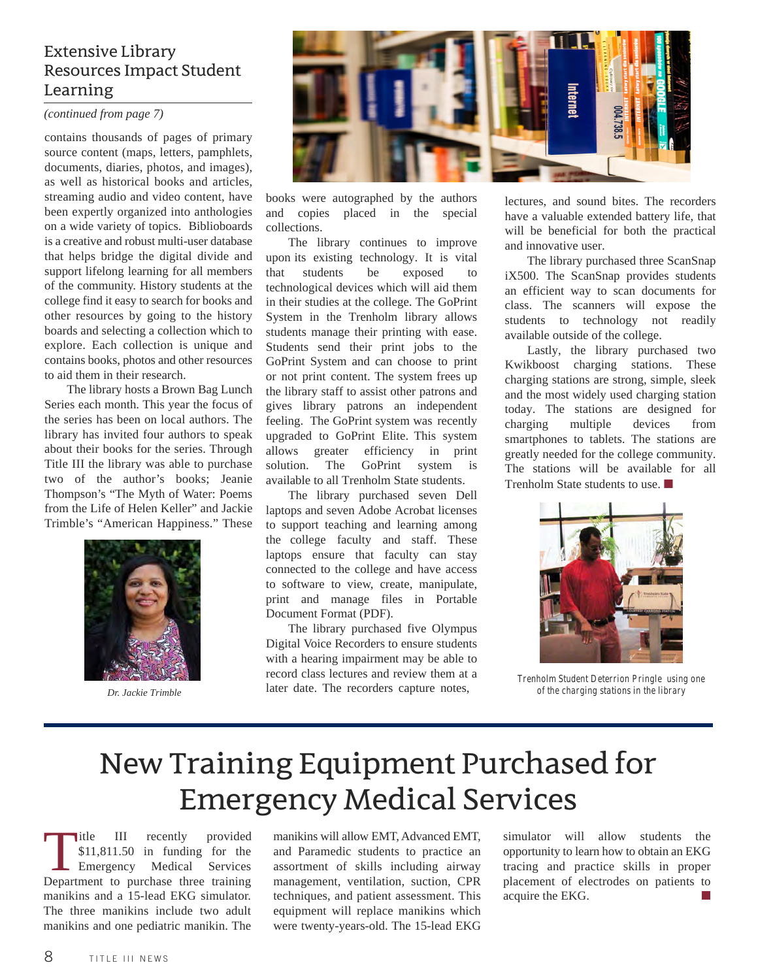#### Extensive Library Resources Impact Student Learning

#### *(continued from page 7)*

contains thousands of pages of primary source content (maps, letters, pamphlets, documents, diaries, photos, and images), as well as historical books and articles, streaming audio and video content, have been expertly organized into anthologies on a wide variety of topics. Biblioboards is a creative and robust multi-user database that helps bridge the digital divide and support lifelong learning for all members of the community. History students at the college find it easy to search for books and other resources by going to the history boards and selecting a collection which to explore. Each collection is unique and contains books, photos and other resources to aid them in their research.

The library hosts a Brown Bag Lunch Series each month. This year the focus of the series has been on local authors. The library has invited four authors to speak about their books for the series. Through Title III the library was able to purchase two of the author's books; Jeanie Thompson's "The Myth of Water: Poems from the Life of Helen Keller" and Jackie Trimble's "American Happiness." These



*Dr. Jackie Trimble* 



books were autographed by the authors and copies placed in the special collections.

The library continues to improve upon its existing technology. It is vital that students be exposed to technological devices which will aid them in their studies at the college. The GoPrint System in the Trenholm library allows students manage their printing with ease. Students send their print jobs to the GoPrint System and can choose to print or not print content. The system frees up the library staff to assist other patrons and gives library patrons an independent feeling. The GoPrint system was recently upgraded to GoPrint Elite. This system allows greater efficiency in print solution. The GoPrint system is available to all Trenholm State students.

The library purchased seven Dell laptops and seven Adobe Acrobat licenses to support teaching and learning among the college faculty and staff. These laptops ensure that faculty can stay connected to the college and have access to software to view, create, manipulate, print and manage files in Portable Document Format (PDF).

The library purchased five Olympus Digital Voice Recorders to ensure students with a hearing impairment may be able to record class lectures and review them at a later date. The recorders capture notes,

lectures, and sound bites. The recorders have a valuable extended battery life, that will be beneficial for both the practical and innovative user.

The library purchased three ScanSnap iX500. The ScanSnap provides students an efficient way to scan documents for class. The scanners will expose the students to technology not readily available outside of the college.

Lastly, the library purchased two Kwikboost charging stations. These charging stations are strong, simple, sleek and the most widely used charging station today. The stations are designed for charging multiple devices from smartphones to tablets. The stations are greatly needed for the college community. The stations will be available for all Trenholm State students to use. **■**



*Trenholm Student Deterrion Pringle using one of the charging stations in the library*

# New Training Equipment Purchased for **Emergency Medical Services**

Title III recently provided<br>\$11,811.50 in funding for the<br>Emergency Medical Services \$11,811.50 in funding for the Emergency Medical Services Department to purchase three training manikins and a 15-lead EKG simulator. The three manikins include two adult manikins and one pediatric manikin. The

manikins will allow EMT, Advanced EMT, and Paramedic students to practice an assortment of skills including airway management, ventilation, suction, CPR techniques, and patient assessment. This equipment will replace manikins which were twenty-years-old. The 15-lead EKG simulator will allow students the opportunity to learn how to obtain an EKG tracing and practice skills in proper placement of electrodes on patients to acquire the EKG. **■**